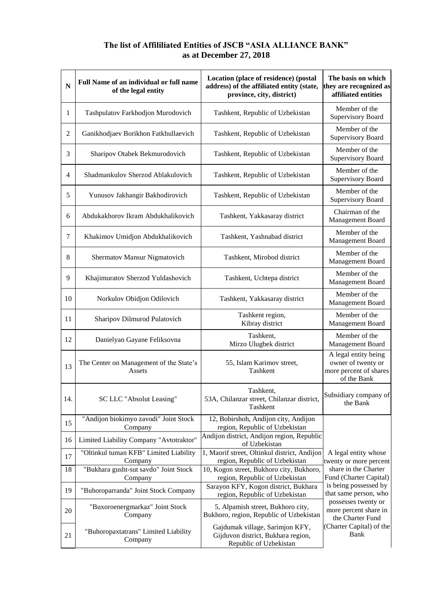## **The list of Affililiated Entities of JSCB "ASIA ALLIANCE BANK" as at December 27, 2018**

| $\overline{\bf N}$ | Full Name of an individual or full name<br>of the legal entity | Location (place of residence) (postal<br>address) of the affiliated entity (state,<br>province, city, district) | The basis on which<br>they are recognized as<br>affiliated entities                 |
|--------------------|----------------------------------------------------------------|-----------------------------------------------------------------------------------------------------------------|-------------------------------------------------------------------------------------|
| 1                  | Tashpulatov Farkhodjon Murodovich                              | Tashkent, Republic of Uzbekistan                                                                                | Member of the<br><b>Supervisory Board</b>                                           |
| 2                  | Ganikhodjaev Borikhon Fatkhullaevich                           | Tashkent, Republic of Uzbekistan                                                                                | Member of the<br><b>Supervisory Board</b>                                           |
| 3                  | Sharipov Otabek Bekmurodovich                                  | Tashkent, Republic of Uzbekistan                                                                                | Member of the<br>Supervisory Board                                                  |
| 4                  | Shadmankulov Sherzod Ablakulovich                              | Tashkent, Republic of Uzbekistan                                                                                | Member of the<br><b>Supervisory Board</b>                                           |
| 5                  | Yunusov Jakhangir Bakhodirovich                                | Tashkent, Republic of Uzbekistan                                                                                | Member of the<br><b>Supervisory Board</b>                                           |
| 6                  | Abdukakhorov Ikram Abdukhalikovich                             | Tashkent, Yakkasaray district                                                                                   | Chairman of the<br>Management Board                                                 |
| 7                  | Khakimov Umidjon Abdukhalikovich                               | Tashkent, Yashnabad district                                                                                    | Member of the<br>Management Board                                                   |
| 8                  | Shermatov Mansur Nigmatovich                                   | Tashkent, Mirobod district                                                                                      | Member of the<br>Management Board                                                   |
| 9                  | Khajimuratov Sherzod Yuldashovich                              | Tashkent, Uchtepa district                                                                                      | Member of the<br>Management Board                                                   |
| 10                 | Norkulov Obidjon Odilovich                                     | Tashkent, Yakkasaray district                                                                                   | Member of the<br>Management Board                                                   |
| 11                 | Sharipov Dilmurod Pulatovich                                   | Tashkent region,<br>Kibray district                                                                             | Member of the<br>Management Board                                                   |
| 12                 | Danielyan Gayane Feliksovna                                    | Tashkent,<br>Mirzo Ulugbek district                                                                             | Member of the<br>Management Board                                                   |
| 13                 | The Center on Management of the State's<br>Assets              | 55, Islam Karimov street,<br>Tashkent                                                                           | A legal entity being<br>owner of twenty or<br>more percent of shares<br>of the Bank |
| 14.                | SC LLC "Absolut Leasing"                                       | Tashkent,<br>53A, Chilanzar street, Chilanzar district,<br>Tashkent                                             | Subsidiary company of<br>the Bank                                                   |
| 15                 | "Andijon biokimyo zavodi" Joint Stock<br>Company               | 12, Bobirshoh, Andijon city, Andijon<br>region, Republic of Uzbekistan                                          |                                                                                     |
| 16                 | Limited Liability Company "Avtotraktor"                        | Andijon district, Andijon region, Republic<br>of Uzbekistan                                                     |                                                                                     |
| 17                 | "Oltinkul tuman KFB" Limited Liability<br>Company              | 1, Maorif street, Oltinkul district, Andijon<br>region, Republic of Uzbekistan                                  | A legal entity whose<br>twenty or more percent                                      |
| 18                 | "Bukhara gusht-sut savdo" Joint Stock<br>Company               | 10, Kogon street, Bukhoro city, Bukhoro,<br>region, Republic of Uzbekistan                                      | share in the Charter<br>Fund (Charter Capital)                                      |
| 19                 | "Buhoroparranda" Joint Stock Company                           | Sarayon KFY, Kogon district, Bukhara<br>region, Republic of Uzbekistan                                          | is being possessed by<br>that same person, who                                      |
| 20                 | "Buxoroenergmarkaz" Joint Stock<br>Company                     | 5, Alpamish street, Bukhoro city,<br>Bukhoro, region, Republic of Uzbekistan                                    | possesses twenty or<br>more percent share in<br>the Charter Fund                    |
| 21                 | "Buhoropaxtatrans" Limited Liability<br>Company                | Gajdumak village, Sarimjon KFY,<br>Gijduvon district, Bukhara region,<br>Republic of Uzbekistan                 | (Charter Capital) of the<br><b>Bank</b>                                             |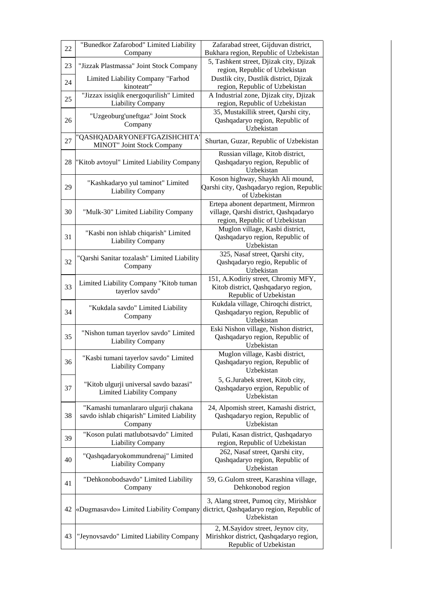| 22 | "Bunedkor Zafarobod" Limited Liability<br>Company                                            | Zafarabad street, Gijduvan district,<br>Bukhara region, Republic of Uzbekistan                                |
|----|----------------------------------------------------------------------------------------------|---------------------------------------------------------------------------------------------------------------|
| 23 | "Jizzak Plastmassa" Joint Stock Company                                                      | 5, Tashkent street, Djizak city, Djizak<br>region, Republic of Uzbekistan                                     |
| 24 | Limited Liability Company "Farhod<br>kinoteatr"                                              | Dustlik city, Dustlik district, Djizak<br>region, Republic of Uzbekistan                                      |
| 25 | "Jizzax issiqlik energoqurilish" Limited<br><b>Liability Company</b>                         | A Industrial zone, Djizak city, Djizak<br>region, Republic of Uzbekistan                                      |
| 26 | "Uzgeoburg'uneftgaz" Joint Stock<br>Company                                                  | 35, Mustakillik street, Qarshi city,<br>Qashqadaryo region, Republic of<br>Uzbekistan                         |
| 27 | 'QASHQADARYONEFTGAZISHCHITA'<br><b>MINOT"</b> Joint Stock Company                            | Shurtan, Guzar, Republic of Uzbekistan                                                                        |
| 28 | "Kitob avtoyul" Limited Liability Company                                                    | Russian village, Kitob district,<br>Qashqadaryo region, Republic of<br>Uzbekistan                             |
| 29 | "Kashkadaryo yul taminot" Limited<br><b>Liability Company</b>                                | Koson highway, Shaykh Ali mound,<br>Qarshi city, Qashqadaryo region, Republic<br>of Uzbekistan                |
| 30 | "Mulk-30" Limited Liability Company                                                          | Ertepa abonent department, Mirmron<br>village, Qarshi district, Qashqadaryo<br>region, Republic of Uzbekistan |
| 31 | "Kasbi non ishlab chiqarish" Limited<br><b>Liability Company</b>                             | Muglon village, Kasbi district,<br>Qashqadaryo region, Republic of<br>Uzbekistan                              |
| 32 | "Qarshi Sanitar tozalash" Limited Liability<br>Company                                       | 325, Nasaf street, Qarshi city,<br>Qashqadaryo regio, Republic of<br>Uzbekistan                               |
| 33 | Limited Liability Company "Kitob tuman<br>tayerlov savdo"                                    | 151, A.Kodiriy street, Chromiy MFY,<br>Kitob district, Qashqadaryo region,<br>Republic of Uzbekistan          |
| 34 | "Kukdala savdo" Limited Liability<br>Company                                                 | Kukdala village, Chiroqchi district,<br>Qashqadaryo region, Republic of<br>Uzbekistan                         |
| 35 | "Nishon tuman tayerlov savdo" Limited<br><b>Liability Company</b>                            | Eski Nishon village, Nishon district,<br>Qashqadaryo region, Republic of<br>Uzbekistan                        |
| 36 | "Kasbi tumani tayerlov savdo" Limited<br><b>Liability Company</b>                            | Muglon village, Kasbi district,<br>Qashqadaryo region, Republic of<br>Uzbekistan                              |
| 37 | "Kitob ulgurji universal savdo bazasi"<br><b>Limited Liability Company</b>                   | 5, G.Jurabek street, Kitob city,<br>Qashqadaryo ergion, Republic of<br>Uzbekistan                             |
| 38 | "Kamashi tumanlararo ulgurji chakana<br>savdo ishlab chiqarish" Limited Liability<br>Company | 24, Alpomish street, Kamashi district,<br>Qashqadaryo region, Republic of<br>Uzbekistan                       |
| 39 | "Koson pulati matlubotsavdo" Limited<br><b>Liability Company</b>                             | Pulati, Kasan district, Qashqadaryo<br>region, Republic of Uzbekistan                                         |
| 40 | "Qashqadaryokommundrenaj" Limited<br><b>Liability Company</b>                                | 262, Nasaf street, Qarshi city,<br>Qashqadaryo region, Republic of<br>Uzbekistan                              |
| 41 | "Dehkonobodsavdo" Limited Liability<br>Company                                               | 59, G.Gulom street, Karashina village,<br>Dehkonobod region                                                   |
| 42 | «Dugmasavdo» Limited Liability Company                                                       | 3, Alang street, Pumoq city, Mirishkor<br>dictrict, Qashqadaryo region, Republic of<br>Uzbekistan             |
| 43 | "Jeynovsavdo" Limited Liability Company                                                      | 2, M.Sayidov street, Jeynov city,<br>Mirishkor district, Qashqadaryo region,<br>Republic of Uzbekistan        |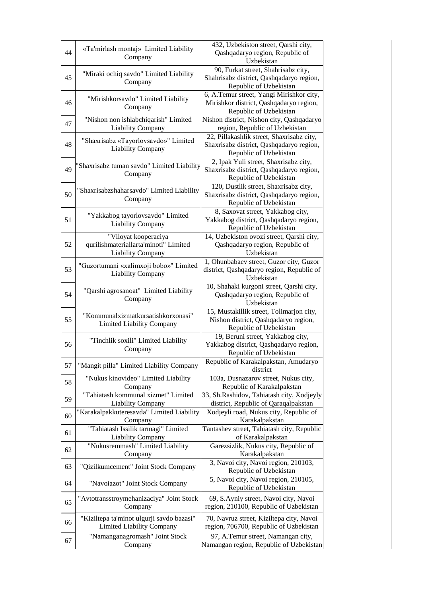|    | «Ta'mirlash montaj» Limited Liability                            | 432, Uzbekiston street, Qarshi city,                                            |
|----|------------------------------------------------------------------|---------------------------------------------------------------------------------|
| 44 | Company                                                          | Qashqadaryo region, Republic of                                                 |
|    |                                                                  | Uzbekistan                                                                      |
|    | "Miraki ochiq savdo" Limited Liability                           | 90, Furkat street, Shahrisabz city,                                             |
| 45 | Company                                                          | Shahrisabz district, Qashqadaryo region,                                        |
|    |                                                                  | Republic of Uzbekistan                                                          |
|    | "Mirishkorsavdo" Limited Liability                               | 6, A.Temur street, Yangi Mirishkor city,                                        |
| 46 | Company                                                          | Mirishkor district, Qashqadaryo region,                                         |
|    |                                                                  | Republic of Uzbekistan                                                          |
| 47 | "Nishon non ishlabchiqarish" Limited                             | Nishon district, Nishon city, Qashqadaryo                                       |
|    | <b>Liability Company</b>                                         | region, Republic of Uzbekistan<br>22, Pillakashlik street, Shaxrisabz city,     |
|    | "Shaxrisabz «Tayorlovsavdo»" Limited<br><b>Liability Company</b> | Shaxrisabz district, Qashqadaryo region,                                        |
| 48 |                                                                  | Republic of Uzbekistan                                                          |
|    |                                                                  | 2, Ipak Yuli street, Shaxrisabz city,                                           |
| 49 | Shaxrisabz tuman savdo" Limited Liability                        | Shaxrisabz district, Qashqadaryo region,                                        |
|    | Company                                                          | Republic of Uzbekistan                                                          |
|    |                                                                  | 120, Dustlik street, Shaxrisabz city,                                           |
| 50 | "Shaxrisabzshaharsavdo" Limited Liability                        | Shaxrisabz district, Qashqadaryo region,                                        |
|    | Company                                                          | Republic of Uzbekistan                                                          |
|    |                                                                  |                                                                                 |
| 51 | "Yakkabog tayorlovsavdo" Limited                                 | 8, Saxovat street, Yakkabog city,<br>Yakkabog district, Qashqadaryo region,     |
|    | <b>Liability Company</b>                                         | Republic of Uzbekistan                                                          |
|    | "Viloyat kooperaciya                                             | 14, Uzbekiston ovozi street, Qarshi city,                                       |
| 52 | qurilishmateriallarta'minoti" Limited                            | Qashqadaryo region, Republic of                                                 |
|    | <b>Liability Company</b>                                         | Uzbekistan                                                                      |
|    |                                                                  | 1, Ohunbabaev street, Guzor city, Guzor                                         |
| 53 | "Guzortumani «xalimxoji bobo»" Limited                           | district, Qashqadaryo region, Republic of                                       |
|    | <b>Liability Company</b>                                         | Uzbekistan                                                                      |
|    |                                                                  | 10, Shahaki kurgoni street, Qarshi city,                                        |
| 54 | "Qarshi agrosanoat" Limited Liability                            | Qashqadaryo region, Republic of                                                 |
|    | Company                                                          | Uzbekistan                                                                      |
|    |                                                                  | 15, Mustakillik street, Tolimarjon city,                                        |
| 55 | "Kommunalxizmatkursatishkorxonasi"                               | Nishon district, Qashqadaryo region,                                            |
|    | <b>Limited Liability Company</b>                                 | Republic of Uzbekistan                                                          |
|    |                                                                  | 19, Beruni street, Yakkabog city,                                               |
| 56 | "Tinchlik soxili" Limited Liability                              | Yakkabog district, Qashqadaryo region,                                          |
|    | Company                                                          | Republic of Uzbekistan                                                          |
| 57 | "Mangit pilla" Limited Liability Company                         | Republic of Karakalpakstan, Amudaryo                                            |
|    |                                                                  | district                                                                        |
| 58 | "Nukus kinovideo" Limited Liability                              | 103a, Dusnazarov street, Nukus city,                                            |
|    | Company                                                          | Republic of Karakalpakstan                                                      |
| 59 | "Tahiatash kommunal xizmet" Limited                              | 33, Sh.Rashidov, Tahiatash city, Xodjeyly                                       |
|    | <b>Liability Company</b>                                         | district, Republic of Qaraqalpakstan                                            |
| 60 | "Karakalpakkuteresavda" Limited Liability                        | Xodjeyli road, Nukus city, Republic of                                          |
|    | Company                                                          | Karakalpakstan                                                                  |
| 61 | "Tahiatash Issilik tarmagi" Limited                              | Tantashev street, Tahiatash city, Republic                                      |
|    | <b>Liability Company</b>                                         | of Karakalpakstan                                                               |
| 62 | "Nukusremmash" Limited Liability                                 | Garezsizlik, Nukus city, Republic of<br>Karakalpakstan                          |
|    | Company                                                          |                                                                                 |
| 63 | "Qizilkumcement" Joint Stock Company                             | 3, Navoi city, Navoi region, 210103,<br>Republic of Uzbekistan                  |
|    |                                                                  | 5, Navoi city, Navoi region, 210105,                                            |
| 64 | "Navoiazot" Joint Stock Company                                  | Republic of Uzbekistan                                                          |
|    |                                                                  |                                                                                 |
| 65 | "Avtotransstroymehanizaciya" Joint Stock                         | 69, S.Ayniy street, Navoi city, Navoi<br>region, 210100, Republic of Uzbekistan |
|    | Company                                                          |                                                                                 |
| 66 | "Kiziltepa ta'minot ulgurji savdo bazasi"                        | 70, Navruz street, Kiziltepa city, Navoi                                        |
|    | <b>Limited Liability Company</b>                                 | region, 706700, Republic of Uzbekistan                                          |
| 67 | "Namanganagromash" Joint Stock                                   | 97, A.Temur street, Namangan city,                                              |
|    | Company                                                          | Namangan region, Republic of Uzbekistan                                         |
|    |                                                                  |                                                                                 |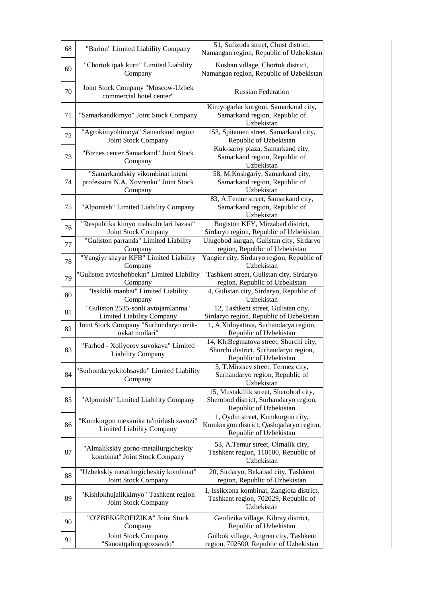| 68 | "Barion" Limited Liability Company                                                  | 51, Sufizoda street, Chust district,<br>Namangan region, Republic of Uzbekistan                            |
|----|-------------------------------------------------------------------------------------|------------------------------------------------------------------------------------------------------------|
| 69 | "Chortok ipak kurti" Limited Liability<br>Company                                   | Kushan village, Chortok district,<br>Namangan region, Republic of Uzbekistan                               |
| 70 | Joint Stock Company "Moscow-Uzbek<br>commercial hotel center"                       | <b>Russian Federation</b>                                                                                  |
| 71 | "Samarkandkimyo" Joint Stock Company                                                | Kimyogarlar kurgoni, Samarkand city,<br>Samarkand region, Republic of<br>Uzbekistan                        |
| 72 | "Agrokimyohimoya" Samarkand region<br>Joint Stock Company                           | 153, Spitamen street, Samarkand city,<br>Republic of Uzbekistan                                            |
| 73 | "Biznes center Samarkand" Joint Stock<br>Company                                    | Kuk-saroy plaza, Samarkand city,<br>Samarkand region, Republic of<br>Uzbekistan                            |
| 74 | "Samarkandskiy vikombinat imeni<br>professora N.A. Xovrenko" Joint Stock<br>Company | 58, M.Koshgariy, Samarkand city,<br>Samarkand region, Republic of<br>Uzbekistan                            |
| 75 | "Alpomish" Limited Liability Company                                                | 83, A.Temur street, Samarkand city,<br>Samarkand region, Republic of<br>Uzbekistan                         |
| 76 | "Respublika kimyo mahsulotlari bazasi"<br>Joint Stock Company                       | Bogiston KFY, Mirzabad district,<br>Sirdaryo region, Republic of Uzbekistan                                |
| 77 | "Guliston parranda" Limited Liability<br>Company                                    | Ulugobod kurgan, Gulistan city, Sirdaryo<br>region, Republic of Uzbekistan                                 |
| 78 | "Yangiyr shayar KFB" Limited Liability<br>Company                                   | Yangier city, Sirdaryo region, Republic of<br>Uzbekistan                                                   |
| 79 | "Guliston avtoshohbekat" Limited Liability<br>Company                               | Tashkent street, Gulistan city, Sirdaryo<br>region, Republic of Uzbekistan                                 |
| 80 | "Issiklik manbai" Limited Liability<br>Company                                      | 4, Gulistan city, Sirdaryo, Republic of<br>Uzbekistan                                                      |
| 81 | "Guliston 2535-sonli avtojamlanma"<br><b>Limited Liability Company</b>              | 12, Tashkent street, Gulistan city,<br>Sirdaryo region, Republic of Uzbekistan                             |
| 82 | Joint Stock Company "Surhondaryo ozik-<br>ovkat mollari"                            | 1, A.Xidoyatova, Surhandarya region,<br>Republic of Uzbekistan                                             |
| 83 | "Farhod - Xoliyorov suvokava" Limited<br>Liability Company                          | 14, Kh.Begmatova street, Shurchi city,<br>Shurchi district, Surhandaryo region,<br>Republic of Uzbekistan  |
| 84 | "Surhondaryokitobsavdo" Limited Liability<br>Company                                | 5, T.Mirzaev street, Termez city,<br>Surhandaryo region, Republic of<br>Uzbekistan                         |
| 85 | "Alpomish" Limited Liability Company                                                | 15, Mustakillik street, Sherobod city,<br>Sherobod district, Surhandaryo region,<br>Republic of Uzbekistan |
| 86 | "Kumkurgon mexanika ta'mirlash zavozi"<br>Limited Liability Company                 | 1, Oydin street, Kumkurgon city,<br>Kumkurgon district, Qashqadaryo region,<br>Republic of Uzbekistan      |
| 87 | "Almalikskiy gorno-metallurgicheskiy<br>kombinat" Joint Stock Company               | 53, A.Temur street, Olmalik city,<br>Tashkent region, 110100, Republic of<br>Uzbekistan                    |
| 88 | "Uzbekskiy metallurgicheskiy kombinat"<br>Joint Stock Company                       | 20, Sirdaryo, Bekabad city, Tashkent<br>region, Republic of Uzbekistan                                     |
| 89 | "Kishlokhujalikkimyo" Tashkent region<br>Joint Stock Company                        | 1, Issikxona kombinat, Zangiota district,<br>Tashkent region, 702029, Republic of<br>Uzbekistan            |
| 90 | "O'ZBEKGEOFIZIKA" Joint Stock<br>Company                                            | Geofizika village, Kibray district,<br>Republic of Uzbekistan                                              |
| 91 | Joint Stock Company<br>"Sanoatqalinqogozsavdo"                                      | Gulbok village, Angren city, Tashkent<br>region, 702500, Republic of Uzbekistan                            |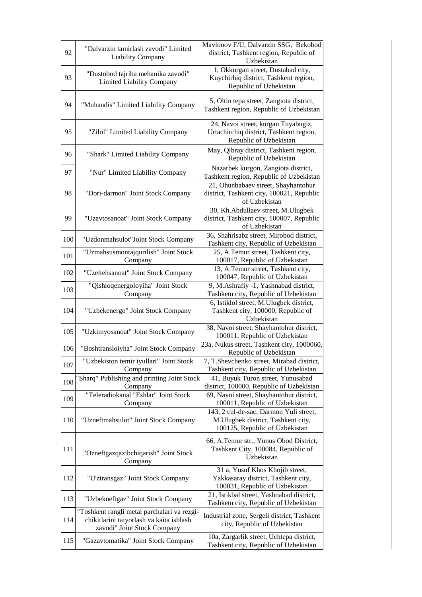| 92  | "Dalvarzin tamirlash zavodi" Limited<br><b>Liability Company</b>                                                       | Mavlonov F/U, Dalvarzin SSG, Bekobod<br>district, Tashkent region, Republic of<br>Uzbekistan                   |
|-----|------------------------------------------------------------------------------------------------------------------------|----------------------------------------------------------------------------------------------------------------|
| 93  | "Dustobod tajriba mehanika zavodi"<br><b>Limited Liability Company</b>                                                 | 1, Okkurgan street, Dustabad city,<br>Kuychirhiq district, Tashkent region,<br>Republic of Uzbekistan          |
| 94  | "Muhandis" Limited Liability Company                                                                                   | 5, Oltin tepa street, Zangiota district,<br>Tashkent region, Republic of Uzbekistan                            |
| 95  | "Zilol" Limited Liability Company                                                                                      | 24, Navoi street, kurgan Tuyabugiz,<br>Urtachirchiq district, Tashkent region,<br>Republic of Uzbekistan       |
| 96  | "Shark" Limited Liability Company                                                                                      | May, Qibray district, Tashkent region,<br>Republic of Uzbekistan                                               |
| 97  | "Nur" Limited Liability Company                                                                                        | Nazarbek kurgon, Zangiota district,<br>Tashkent region, Republic of Uzbekistan                                 |
| 98  | "Dori-darmon" Joint Stock Company                                                                                      | 21, Ohunbabaev street, Shayhantohur<br>district, Tashkent city, 100021, Republic<br>of Uzbekistan              |
| 99  | "Uzavtosanoat" Joint Stock Company                                                                                     | 30, Kh.Abdullaev street, M.Ulugbek<br>district, Tashkent city, 100007, Republic<br>of Uzbekistan               |
| 100 | "Uzdonmahsulot"Joint Stock Company                                                                                     | 36, Shahrisabz street, Mirobod district,<br>Tashkent city, Republic of Uzbekistan                              |
| 101 | "Uzmahsusmontajqurilish" Joint Stock<br>Company                                                                        | 25, A.Temur street, Tashkent city,<br>100017, Republic of Uzbekistan                                           |
| 102 | "Uzeltehsanoat" Joint Stock Company                                                                                    | 13, A.Temur street, Tashkent city,<br>100047, Republic of Uzbekistan                                           |
| 103 | "Qishloqenergoloyiha" Joint Stock<br>Company                                                                           | 9, M.Ashrafiy -1, Yashnabad district,<br>Tashketn city, Republic of Uzbekistan                                 |
| 104 | "Uzbekenergo" Joint Stock Company                                                                                      | 6, Istiklol street, M.Ulugbek district,<br>Tashkent city, 100000, Republic of<br>Uzbekistan                    |
| 105 | "Uzkimyosanoat" Joint Stock Company                                                                                    | 38, Navoi street, Shayhantohur district,<br>100011, Republic of Uzbekistan                                     |
| 106 | "Boshtransloiyha" Joint Stock Company                                                                                  | 23a, Nukus street, Tashkent city, 1000060,<br>Republic of Uzbekistan                                           |
| 107 | "Uzbekiston temir iyullari" Joint Stock<br>Company                                                                     | 7, T.Shevchenko street, Mirabad district,<br>Tashkent city, Republic of Uzbekistan                             |
| 108 | 'Sharq" Publishing and printing Joint Stock<br>Company                                                                 | 41, Buyuk Turon street, Yunusabad<br>district, 100000, Republic of Uzbekistan                                  |
| 109 | "Teleradiokanal "Eshlar" Joint Stock<br>Company                                                                        | 69, Navoi street, Shayhantohur district,<br>100011, Republic of Uzbekistan                                     |
| 110 | "Uzneftmahsulot" Joint Stock Company                                                                                   | 143, 2 cul-de-sac, Darmon Yuli street,<br>M.Ulugbek district, Tashkent city,<br>100125, Republic of Uzbekistan |
| 111 | "Ozneftgazqazibchiqarish" Joint Stock<br>Company                                                                       | 66, A.Temur str., Yunus Obod District,<br>Tashkent City, 100084, Republic of<br>Uzbekistan                     |
| 112 | "U'ztransgaz" Joint Stock Company                                                                                      | 31 a, Yusuf Khos Khojib street,<br>Yakkasaray district, Tashkent city,<br>100031, Republic of Uzbekistan       |
| 113 | "Uzbekneftgaz" Joint Stock Company                                                                                     | 21, Istikbal street, Yashnabad district,<br>Tashketn city, Republic of Uzbekistan                              |
| 114 | "Toshkent rangli metal parchalari va rezgi-<br>chikitlarini taiyorlash va kaita ishlash<br>zavodi" Joint Stock Company | Industrial zone, Sergeli district, Tashkent<br>city, Republic of Uzbekistan                                    |
| 115 | "Gazavtomatika" Joint Stock Company                                                                                    | 10a, Zargarlik street, Uchtepa district,<br>Tashkent city, Republic of Uzbekistan                              |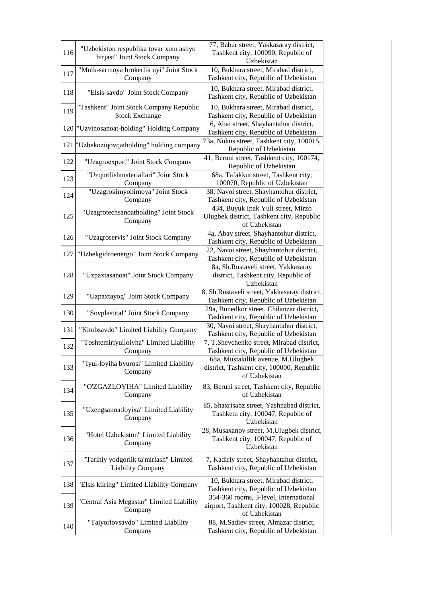| 116 | "Uzbekiston respublika tovar xom ashyo<br>birjasi" Joint Stock Company | 77, Babur street, Yakkasaray district,<br>Tashkent city, 100090, Republic of<br>Uzbekistan         |
|-----|------------------------------------------------------------------------|----------------------------------------------------------------------------------------------------|
| 117 | "Mulk-sarmoya brokerlik uyi" Joint Stock<br>Company                    | 10, Bukhara street, Mirabad district,<br>Tashkent city, Republic of Uzbekistan                     |
| 118 | "Elsis-savdo" Joint Stock Company                                      | 10, Bukhara street, Mirabad district,<br>Tashkent city, Republic of Uzbekistan                     |
| 119 | "Tashkent" Joint Stock Company Republic<br><b>Stock Exchange</b>       | 10, Bukhara street, Mirabad district,<br>Tashkent city, Republic of Uzbekistan                     |
| 120 | "Uzvinosanoat-holding" Holding Company                                 | 6, Abai street, Shayhantahur district,<br>Tashkent city, Republic of Uzbekistan                    |
| 121 | "Uzbekoziqovqatholding" holding company                                | 73a, Nukus street, Tashkent city, 100015,<br>Republic of Uzbekistan                                |
| 122 | "Uzagroexport" Joint Stock Company                                     | 41, Beruni street, Tashkent city, 100174,<br>Republic of Uzbekistan                                |
| 123 | "Uzqurilishmateriallari" Joint Stock<br>Company                        | 68a, Tafakkur street, Tashkent city,<br>100070, Republic of Uzbekistan                             |
| 124 | "Uzagrokimyohimoya" Joint Stock<br>Company                             | 38, Navoi street, Shayhantohur district,<br>Tashkent city, Republic of Uzbekistan                  |
| 125 | "Uzagrotechsanoatholding" Joint Stock<br>Company                       | 434, Buyuk Ipak Yuli street, Mirzo<br>Ulugbek district, Tashkent city, Republic<br>of Uzbekistan   |
| 126 | "Uzagroservis" Joint Stock Company                                     | 4a, Abay street, Shayhantohur district,<br>Tashkent city, Republic of Uzbekistan                   |
| 127 | "Uzbekgidroenergo" Joint Stock Company                                 | 22, Navoi street, Shayhantohur district,<br>Tashkent city, Republic of Uzbekistan                  |
| 128 | "Uzpaxtasanoat" Joint Stock Company                                    | 8a, Sh.Rustaveli street, Yakkasaray<br>district, Tashkent city, Republic of<br>Uzbekistan          |
|     |                                                                        |                                                                                                    |
| 129 | "Uzpaxtayog" Joint Stock Company                                       | 8, Sh.Rustaveli street, Yakkasaray district,<br>Tashkent city, Republic of Uzbekistan              |
| 130 | "Sovplastital" Joint Stock Company                                     | 29a, Bunedkor street, Chilanzar district,<br>Tashkent city, Republic of Uzbekistan                 |
| 131 | "Kitobsavdo" Limited Liability Company                                 | 30, Navoi street, Shayhantahur district,<br>Tashkent city, Republic of Uzbekistan                  |
| 132 | "Toshtemiriyulloiyha" Limited Liability<br>Company                     | 7, T.Shevchenko street, Mirabad district,<br>Tashkent city, Republic of Uzbekistan                 |
| 133 | "Iyul-loyiha byurosi" Limited Liability<br>Company                     | 68a, Mustakillik avenue, M.Ulugbek<br>district, Tashkent city, 100000, Republic<br>of Uzbekistan   |
| 134 | "O'ZGAZLOYIHA" Limited Liability<br>Company                            | 83, Beruni street, Tashkent city, Republic<br>of Uzbekistan                                        |
| 135 | "Uzengsanoatloyixa" Limited Liability<br>Company                       | 85, Shaxrisabz street, Yashnabad district,<br>Tashketn city, 100047, Republic of<br>Uzbekistan     |
| 136 | "Hotel Uzbekiston" Limited Liability<br>Company                        | 28, Musaxanov street, M.Ulugbek district,<br>Tashkent city, 100047, Republic of<br>Uzbekistan      |
| 137 | "Tarihiy yodgorlik ta'mirlash" Limited<br><b>Liability Company</b>     | 7, Kadiriy street, Shayhantahur district,<br>Tashkent city, Republic of Uzbekistan                 |
| 138 | "Elsis kliring" Limited Liability Company                              | 10, Bukhara street, Mirabad district,<br>Tashkent city, Republic of Uzbekistan                     |
| 139 | "Central Asia Megastar" Limited Liability<br>Company                   | 354-360 rooms, 3-level, International<br>airport, Tashkent city, 100028, Republic<br>of Uzbekistan |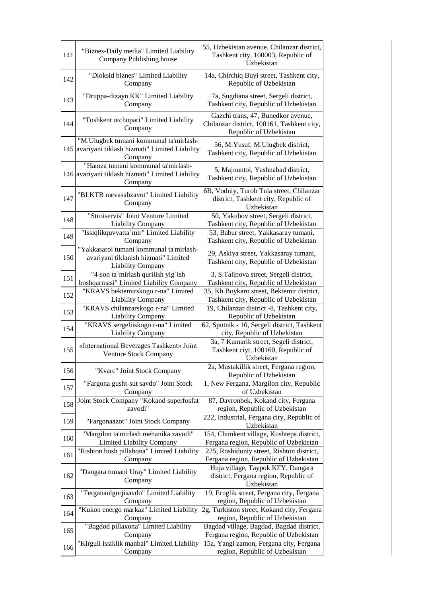| 141 | "Biznes-Daily media" Limited Liability<br>Company Publishing house                                   | 55, Uzbekistan avenue, Chilanzar district,<br>Tashkent city, 100003, Republic of<br>Uzbekistan             |
|-----|------------------------------------------------------------------------------------------------------|------------------------------------------------------------------------------------------------------------|
| 142 | "Dioksid biznes" Limited Liability<br>Company                                                        | 14a, Chirchiq Buyi street, Tashkent city,<br>Republic of Uzbekistan                                        |
| 143 | "Druppa-dizayn KK" Limited Liability<br>Company                                                      | 7a, Sugdiana street, Sergeli district,<br>Tashkent city, Republic of Uzbekistan                            |
| 144 | "Toshkent otchopari" Limited Liability<br>Company                                                    | Gazchi trans, 47, Bunedkor avenue,<br>Chilanzar district, 100161, Tashkent city,<br>Republic of Uzbekistan |
| 145 | "M.Ulugbek tumani kommunal ta'mirlash-<br>avariyani tiklash hizmati" Limited Liability<br>Company    | 56, M.Yusuf, M.Ulugbek district,<br>Tashkent city, Republic of Uzbekistan                                  |
|     | "Hamza tumani kommunal ta'mirlash-<br>146 avariyani tiklash hizmati" Limited Liability<br>Company    | 5, Majnuntol, Yashnabad district,<br>Tashkent city, Republic of Uzbekistan                                 |
| 147 | "BLKTB mevasabzavot" Limited Liability<br>Company                                                    | 6B, Vodniy, Turob Tula street, Chilanzar<br>district, Tashkent city, Republic of<br>Uzbekistan             |
| 148 | "Stroiservis" Joint Venture Limited<br>Liability Company                                             | 50, Yakubov street, Sergeli district,<br>Tashkent city, Republic of Uzbekistan                             |
| 149 | "Issiqlikquvvatta`mir" Limited Liability<br>Company                                                  | 53, Babur street, Yakkasaray tumani,<br>Tashkent city, Republic of Uzbekistan                              |
| 150 | "Yakkasaroi tumani kommunal ta'mirlash-<br>avariyani tiklanish hizmati" Limited<br>Liability Company | 29, Askiya street, Yakkasaray tumani,<br>Tashkent city, Republic of Uzbekistan                             |
| 151 | "4-son ta' mirlash qurilish yig'ish<br>boshqarmasi" Limited Liability Company                        | 3, S.Talipova street, Sergeli district,<br>Tashkent city, Republic of Uzbekistan                           |
| 152 | "KRAVS bektemirskogo r-na" Limited<br>Liability Company                                              | 35, Kh.Boykaro street, Bektemir district,<br>Tashkent city, Republic of Uzbekistan                         |
| 153 | "KRAVS chilanzarskogo r-na" Limited<br><b>Liability Company</b>                                      | 19, Chilanzar district -8, Tashkent city,<br>Republic of Uzbekistan                                        |
| 154 | "KRAVS sergeliiskogo r-na" Limited<br>Liability Company                                              | 62, Sputnik - 10, Sergeli district, Tashkent<br>city, Republic of Uzbekistan                               |
| 155 | «International Beverages Tashkent» Joint<br>Venture Stock Company                                    | 3a, 7 Kumarik street, Segeli district,<br>Tashkent ciyt, 100160, Republic of<br>Uzbekistan                 |
| 156 | "Kvarc" Joint Stock Company                                                                          | 2a, Mustakillik street, Fergana region,<br>Republic of Uzbekistan                                          |
| 157 | "Fargona gusht-sut savdo" Joint Stock<br>Company                                                     | 1, New Fergana, Margilon city, Republic<br>of Uzbekistan                                                   |
| 158 | Joint Stock Company "Kokand superfosfat<br>zavodi"                                                   | 87, Davronbek, Kokand city, Fergana<br>region, Republic of Uzbekistan                                      |
| 159 | "Fargonaazot" Joint Stock Company                                                                    | 222, Industrial, Fergana city, Republic of<br>Uzbekistan                                                   |
| 160 | "Margilon ta'mirlash mehanika zavodi"<br><b>Limited Liability Company</b>                            | 154, Chimkent village, Kushtepa district,<br>Fergana region, Republic of Uzbekistan                        |
| 161 | "Rishton bosh pillahona" Limited Liability<br>Company                                                | 225, Roshidoniy street, Rishton district,<br>Fergana region, Republic of Uzbekistan                        |
| 162 | "Dangara tumani Uray" Limited Liability<br>Company                                                   | Huja village, Taypok KFY, Dangara<br>district, Fergana region, Republic of<br>Uzbekistan                   |
| 163 | "Ferganaulgurjisavdo" Limited Liability<br>Company                                                   | 19, Eruglik street, Fergana city, Fergana<br>region, Republic of Uzbekistan                                |
| 164 | "Kukon energo markaz" Limited Liability<br>Company                                                   | 2g, Turkiston street, Kokand city, Fergana<br>region, Republic of Uzbekistan                               |
| 165 | "Bagdod pillaxona" Limited Liability<br>Company                                                      | Bagdad village, Bagdad, Bagdad district,<br>Fergana region, Republic of Uzbekistan                         |
| 166 | "Kirguli issiklik manbai" Limited Liability<br>Company                                               | 15a, Yangi zamon, Fergana city, Fergana<br>region, Republic of Uzbekistan                                  |